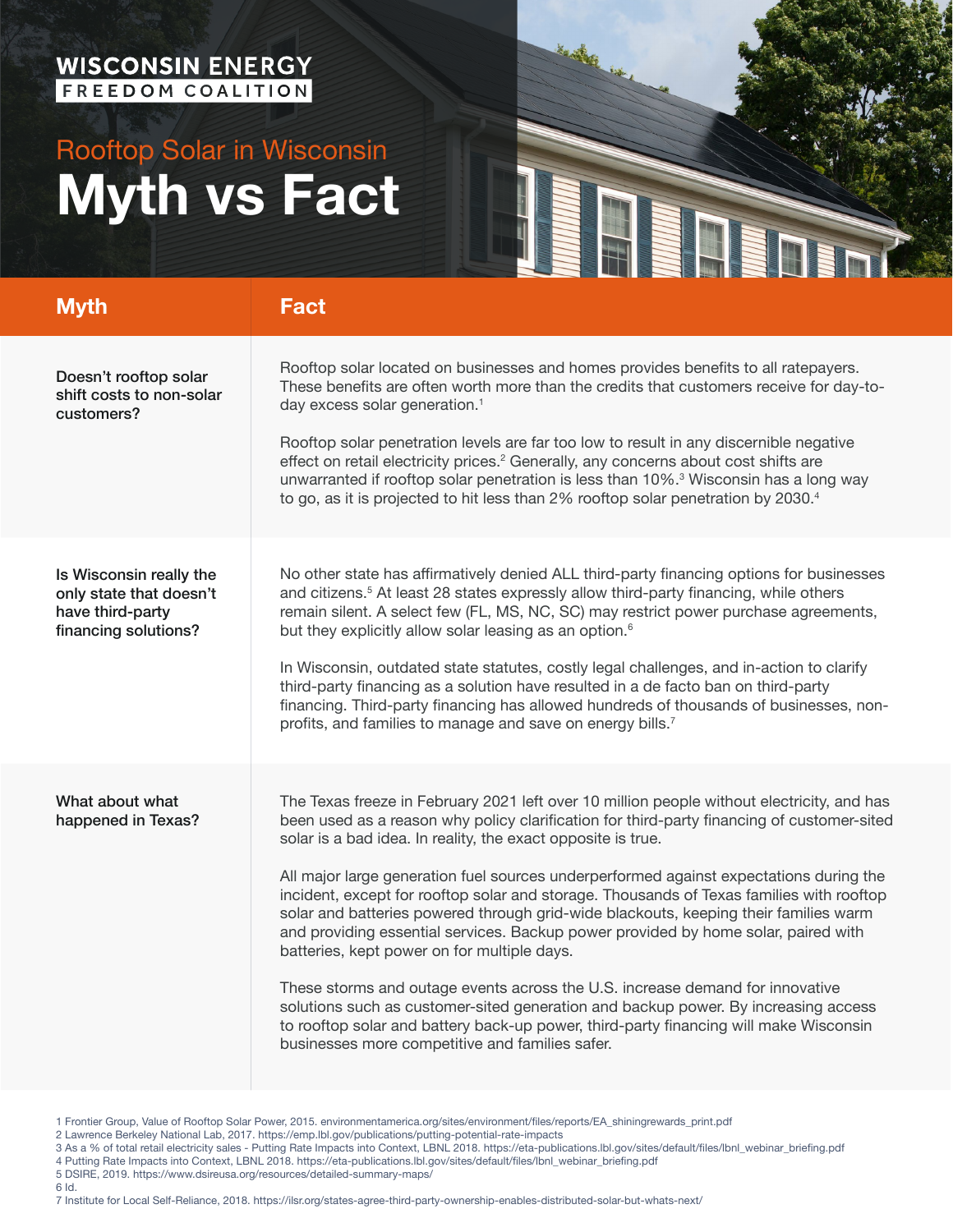## WISCONSIN ENERGY

## Rooftop Solar in Wisconsin **Myth vs Fact**



| <b>Myth</b>                                                                                    | <b>Fact</b>                                                                                                                                                                                                                                                                                                                                                                                                                                                                                                                                                                                                                                                                                                                                                                                                                                                                                                                                                                                    |
|------------------------------------------------------------------------------------------------|------------------------------------------------------------------------------------------------------------------------------------------------------------------------------------------------------------------------------------------------------------------------------------------------------------------------------------------------------------------------------------------------------------------------------------------------------------------------------------------------------------------------------------------------------------------------------------------------------------------------------------------------------------------------------------------------------------------------------------------------------------------------------------------------------------------------------------------------------------------------------------------------------------------------------------------------------------------------------------------------|
| Doesn't rooftop solar<br>shift costs to non-solar<br>customers?                                | Rooftop solar located on businesses and homes provides benefits to all ratepayers.<br>These benefits are often worth more than the credits that customers receive for day-to-<br>day excess solar generation. <sup>1</sup><br>Rooftop solar penetration levels are far too low to result in any discernible negative<br>effect on retail electricity prices. <sup>2</sup> Generally, any concerns about cost shifts are<br>unwarranted if rooftop solar penetration is less than 10%. <sup>3</sup> Wisconsin has a long way<br>to go, as it is projected to hit less than 2% rooftop solar penetration by 2030.4                                                                                                                                                                                                                                                                                                                                                                               |
| Is Wisconsin really the<br>only state that doesn't<br>have third-party<br>financing solutions? | No other state has affirmatively denied ALL third-party financing options for businesses<br>and citizens. <sup>5</sup> At least 28 states expressly allow third-party financing, while others<br>remain silent. A select few (FL, MS, NC, SC) may restrict power purchase agreements,<br>but they explicitly allow solar leasing as an option. <sup>6</sup><br>In Wisconsin, outdated state statutes, costly legal challenges, and in-action to clarify<br>third-party financing as a solution have resulted in a de facto ban on third-party<br>financing. Third-party financing has allowed hundreds of thousands of businesses, non-<br>profits, and families to manage and save on energy bills. <sup>7</sup>                                                                                                                                                                                                                                                                              |
| What about what<br>happened in Texas?                                                          | The Texas freeze in February 2021 left over 10 million people without electricity, and has<br>been used as a reason why policy clarification for third-party financing of customer-sited<br>solar is a bad idea. In reality, the exact opposite is true.<br>All major large generation fuel sources underperformed against expectations during the<br>incident, except for rooftop solar and storage. Thousands of Texas families with rooftop<br>solar and batteries powered through grid-wide blackouts, keeping their families warm<br>and providing essential services. Backup power provided by home solar, paired with<br>batteries, kept power on for multiple days.<br>These storms and outage events across the U.S. increase demand for innovative<br>solutions such as customer-sited generation and backup power. By increasing access<br>to rooftop solar and battery back-up power, third-party financing will make Wisconsin<br>businesses more competitive and families safer. |

<sup>1</sup> Frontier Group, Value of Rooftop Solar Power, 2015. environmentamerica.org/sites/environment/files/reports/EA\_shiningrewards\_print.pdf

- 2 Lawrence Berkeley National Lab, 2017. https://emp.lbl.gov/publications/putting-potential-rate-impacts
- 3 As a % of total retail electricity sales Putting Rate Impacts into Context, LBNL 2018. https://eta-publications.lbl.gov/sites/default/files/lbnl\_webinar\_briefing.pdf
- 4 Putting Rate Impacts into Context, LBNL 2018. https://eta-publications.lbl.gov/sites/default/files/lbnl\_webinar\_briefing.pdf
- 5 DSIRE, 2019. https://www.dsireusa.org/resources/detailed-summary-maps/
- 6 Id.

7 Institute for Local Self-Reliance, 2018. https://ilsr.org/states-agree-third-party-ownership-enables-distributed-solar-but-whats-next/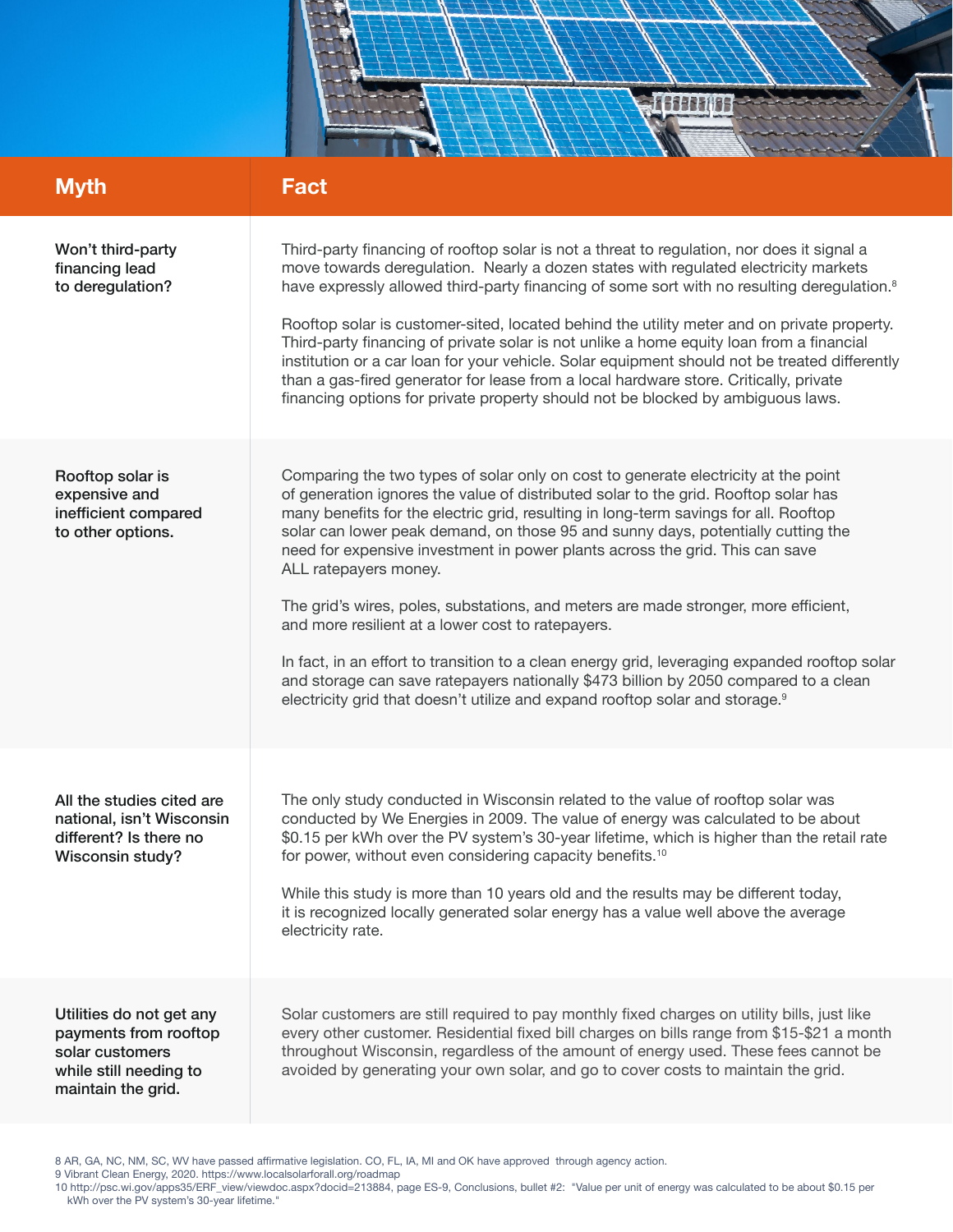

| <b>Myth</b>                                                                                                          | <b>Fact</b>                                                                                                                                                                                                                                                                                                                                                                                                                                                                                                                                                                                                                                                                                                                                                                                                                                                                                     |
|----------------------------------------------------------------------------------------------------------------------|-------------------------------------------------------------------------------------------------------------------------------------------------------------------------------------------------------------------------------------------------------------------------------------------------------------------------------------------------------------------------------------------------------------------------------------------------------------------------------------------------------------------------------------------------------------------------------------------------------------------------------------------------------------------------------------------------------------------------------------------------------------------------------------------------------------------------------------------------------------------------------------------------|
| Won't third-party<br>financing lead<br>to deregulation?                                                              | Third-party financing of rooftop solar is not a threat to regulation, nor does it signal a<br>move towards deregulation. Nearly a dozen states with regulated electricity markets<br>have expressly allowed third-party financing of some sort with no resulting deregulation. <sup>8</sup><br>Rooftop solar is customer-sited, located behind the utility meter and on private property.<br>Third-party financing of private solar is not unlike a home equity loan from a financial<br>institution or a car loan for your vehicle. Solar equipment should not be treated differently<br>than a gas-fired generator for lease from a local hardware store. Critically, private<br>financing options for private property should not be blocked by ambiguous laws.                                                                                                                              |
| Rooftop solar is<br>expensive and<br>inefficient compared<br>to other options.                                       | Comparing the two types of solar only on cost to generate electricity at the point<br>of generation ignores the value of distributed solar to the grid. Rooftop solar has<br>many benefits for the electric grid, resulting in long-term savings for all. Rooftop<br>solar can lower peak demand, on those 95 and sunny days, potentially cutting the<br>need for expensive investment in power plants across the grid. This can save<br>ALL ratepayers money.<br>The grid's wires, poles, substations, and meters are made stronger, more efficient,<br>and more resilient at a lower cost to ratepayers.<br>In fact, in an effort to transition to a clean energy grid, leveraging expanded rooftop solar<br>and storage can save ratepayers nationally \$473 billion by 2050 compared to a clean<br>electricity grid that doesn't utilize and expand rooftop solar and storage. <sup>9</sup> |
| All the studies cited are<br>national, isn't Wisconsin<br>different? Is there no<br>Wisconsin study?                 | The only study conducted in Wisconsin related to the value of rooftop solar was<br>conducted by We Energies in 2009. The value of energy was calculated to be about<br>\$0.15 per kWh over the PV system's 30-year lifetime, which is higher than the retail rate<br>for power, without even considering capacity benefits. <sup>10</sup><br>While this study is more than 10 years old and the results may be different today,<br>it is recognized locally generated solar energy has a value well above the average<br>electricity rate.                                                                                                                                                                                                                                                                                                                                                      |
| Utilities do not get any<br>payments from rooftop<br>solar customers<br>while still needing to<br>maintain the grid. | Solar customers are still required to pay monthly fixed charges on utility bills, just like<br>every other customer. Residential fixed bill charges on bills range from \$15-\$21 a month<br>throughout Wisconsin, regardless of the amount of energy used. These fees cannot be<br>avoided by generating your own solar, and go to cover costs to maintain the grid.                                                                                                                                                                                                                                                                                                                                                                                                                                                                                                                           |

8 AR, GA, NC, NM, SC, WV have passed affirmative legislation. CO, FL, IA, MI and OK have approved through agency action.

9 Vibrant Clean Energy, 2020. https://www.localsolarforall.org/roadmap

<sup>10</sup> http://psc.wi.gov/apps35/ERF\_view/viewdoc.aspx?docid=213884, page ES-9, Conclusions, bullet #2: "Value per unit of energy was calculated to be about \$0.15 per kWh over the PV system's 30-year lifetime."